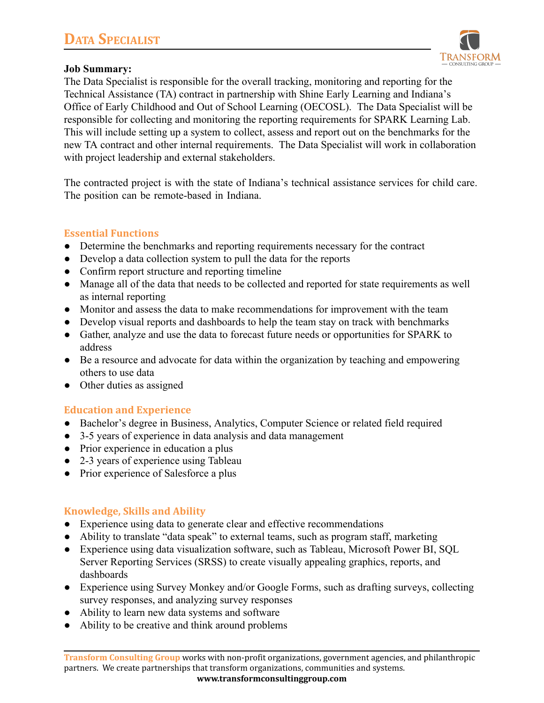

### **Job Summary:**

The Data Specialist is responsible for the overall tracking, monitoring and reporting for the Technical Assistance (TA) contract in partnership with Shine Early Learning and Indiana's Office of Early Childhood and Out of School Learning (OECOSL). The Data Specialist will be responsible for collecting and monitoring the reporting requirements for SPARK Learning Lab. This will include setting up a system to collect, assess and report out on the benchmarks for the new TA contract and other internal requirements. The Data Specialist will work in collaboration with project leadership and external stakeholders.

The contracted project is with the state of Indiana's technical assistance services for child care. The position can be remote-based in Indiana.

### **Essential Functions**

- Determine the benchmarks and reporting requirements necessary for the contract
- Develop a data collection system to pull the data for the reports
- Confirm report structure and reporting timeline
- Manage all of the data that needs to be collected and reported for state requirements as well as internal reporting
- Monitor and assess the data to make recommendations for improvement with the team
- Develop visual reports and dashboards to help the team stay on track with benchmarks
- Gather, analyze and use the data to forecast future needs or opportunities for SPARK to address
- Be a resource and advocate for data within the organization by teaching and empowering others to use data
- Other duties as assigned

## **Education and Experience**

- Bachelor's degree in Business, Analytics, Computer Science or related field required
- 3-5 years of experience in data analysis and data management
- Prior experience in education a plus
- 2-3 years of experience using Tableau
- Prior experience of Salesforce a plus

## **Knowledge, Skills and Ability**

- Experience using data to generate clear and effective recommendations
- Ability to translate "data speak" to external teams, such as program staff, marketing
- Experience using data visualization software, such as Tableau, Microsoft Power BI, SQL Server Reporting Services (SRSS) to create visually appealing graphics, reports, and dashboards
- Experience using Survey Monkey and/or Google Forms, such as drafting surveys, collecting survey responses, and analyzing survey responses
- Ability to learn new data systems and software
- Ability to be creative and think around problems

**Transform Consulting Group** works with non-profit organizations, government agencies, and philanthropic partners. We create partnerships that transform organizations, communities and systems.

**www.transformconsultinggroup.com**